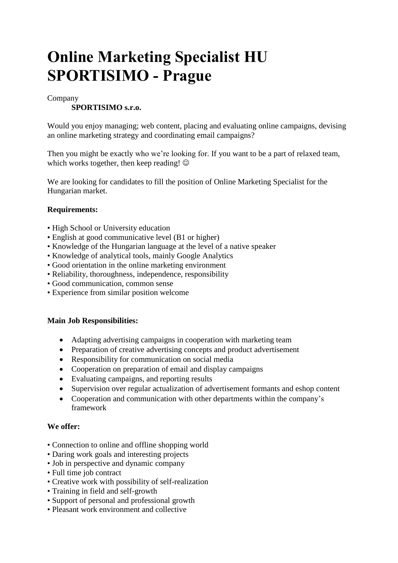# **Online Marketing Specialist HU SPORTISIMO - Prague**

#### Company

### **SPORTISIMO s.r.o.**

Would you enjoy managing; web content, placing and evaluating online campaigns, devising an online marketing strategy and coordinating email campaigns?

Then you might be exactly who we're looking for. If you want to be a part of relaxed team, which works together, then keep reading!  $\odot$ 

We are looking for candidates to fill the position of Online Marketing Specialist for the Hungarian market.

#### **Requirements:**

- High School or University education
- English at good communicative level (B1 or higher)
- Knowledge of the Hungarian language at the level of a native speaker
- Knowledge of analytical tools, mainly Google Analytics
- Good orientation in the online marketing environment
- Reliability, thoroughness, independence, responsibility
- Good communication, common sense
- Experience from similar position welcome

#### **Main Job Responsibilities:**

- Adapting advertising campaigns in cooperation with marketing team
- Preparation of creative advertising concepts and product advertisement
- Responsibility for communication on social media
- Cooperation on preparation of email and display campaigns
- Evaluating campaigns, and reporting results
- Supervision over regular actualization of advertisement formants and eshop content
- Cooperation and communication with other departments within the company's framework

#### **We offer:**

- Connection to online and offline shopping world
- Daring work goals and interesting projects
- Job in perspective and dynamic company
- Full time job contract
- Creative work with possibility of self-realization
- Training in field and self-growth
- Support of personal and professional growth
- Pleasant work environment and collective